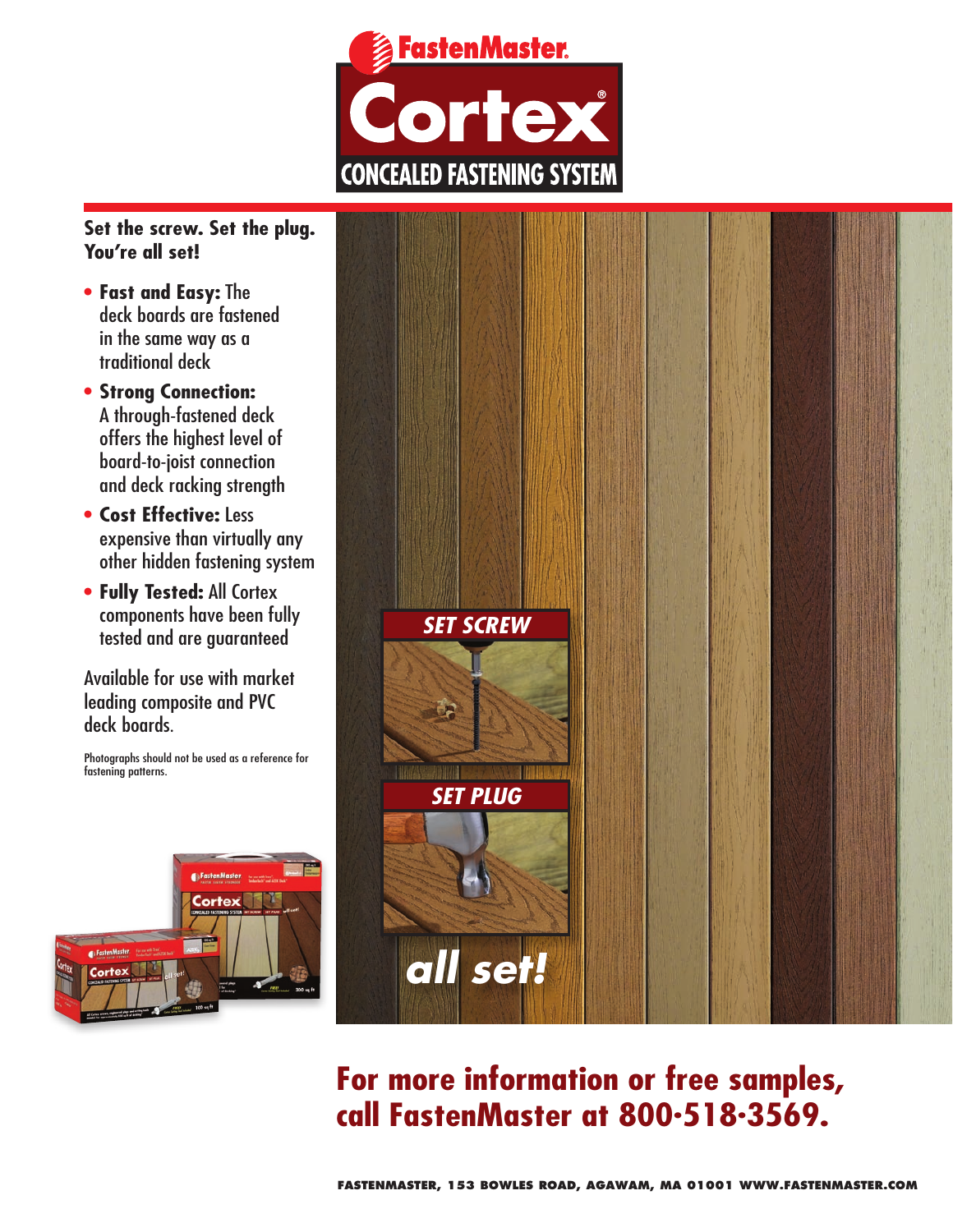

# **Set the screw. Set the plug. You're all set!**

- • **Fast and Easy:** The deck boards are fastened in the same way as a traditional deck
- • **Strong Connection:** A through-fastened deck offers the highest level of board-to-joist connection and deck racking strength
- • **Cost Effective:** Less expensive than virtually any other hidden fastening system
- • **Fully Tested:** All Cortex components have been fully tested and are guaranteed

Available for use with market leading composite and PVC deck boards.

Photographs should not be used as a reference for fastening patterns.





# **For more information or free samples, call FastenMaster at 800. 518. 3569.**